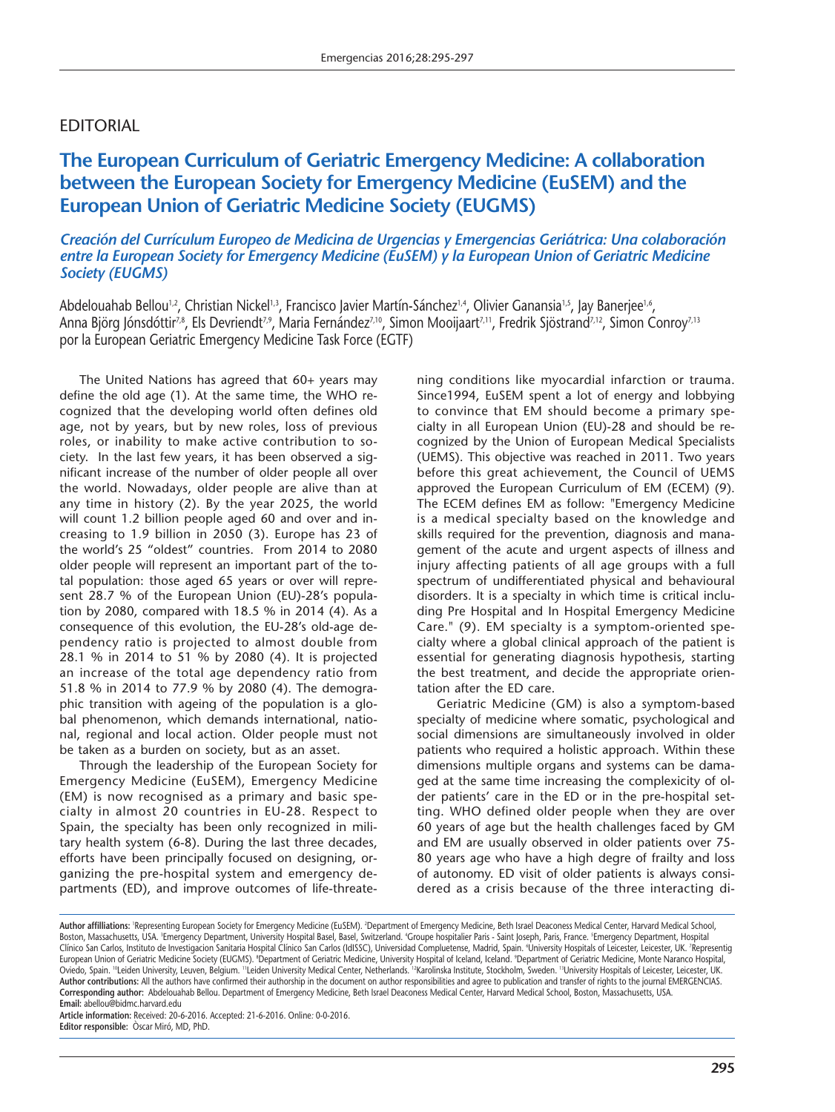# EDITORIAL

# **The European Curriculum of Geriatric Emergency Medicine: A collaboration between the European Society for Emergency Medicine (EuSEM) and the European Union of Geriatric Medicine Society (EUGMS)**

*Creación del Currículum Europeo de Medicina de Urgencias y Emergencias Geriátrica: Una colaboración entre la European Society for Emergency Medicine (EuSEM) y la European Union of Geriatric Medicine Society (EUGMS)*

Abdelouahab Bellou<sup>n2</sup>, Christian Nickel<sup>n3</sup>, Francisco Javier Martín-Sánchez<sup>na</sup>, Olivier Ganansia<sup>n3</sup>, Jay Banerjee<sup>n6</sup>, Anna Björg Jónsdóttir<sup>78</sup>, Els Devriendt<sup>79</sup>, Maria Fernández<sup>710</sup>, Simon Mooijaart<sup>711</sup>, Fredrik Sjöstrand<sup>7,12</sup>, Simon Conroy<sup>7,13</sup> por la European Geriatric Emergency Medicine Task Force (EGTF)

The United Nations has agreed that 60+ years may define the old age (1). At the same time, the WHO recognized that the developing world often defines old age, not by years, but by new roles, loss of previous roles, or inability to make active contribution to society. In the last few years, it has been observed a significant increase of the number of older people all over the world. Nowadays, older people are alive than at any time in history (2). By the year 2025, the world will count 1.2 billion people aged 60 and over and increasing to 1.9 billion in 2050 (3). Europe has 23 of the world's 25 "oldest" countries. From 2014 to 2080 older people will represent an important part of the total population: those aged 65 years or over will represent 28.7 % of the European Union (EU)-28's population by 2080, compared with 18.5 % in 2014 (4). As a consequence of this evolution, the EU-28's old-age dependency ratio is projected to almost double from 28.1 % in 2014 to 51 % by 2080 (4). It is projected an increase of the total age dependency ratio from 51.8 % in 2014 to 77.9 % by 2080 (4). The demographic transition with ageing of the population is a global phenomenon, which demands international, national, regional and local action. Older people must not be taken as a burden on society, but as an asset.

Through the leadership of the European Society for Emergency Medicine (EuSEM), Emergency Medicine (EM) is now recognised as a primary and basic specialty in almost 20 countries in EU-28. Respect to Spain, the specialty has been only recognized in military health system (6-8). During the last three decades, efforts have been principally focused on designing, organizing the pre-hospital system and emergency departments (ED), and improve outcomes of life-threate-

ning conditions like myocardial infarction or trauma. Since1994, EuSEM spent a lot of energy and lobbying to convince that EM should become a primary specialty in all European Union (EU)-28 and should be recognized by the Union of European Medical Specialists (UEMS). This objective was reached in 2011. Two years before this great achievement, the Council of UEMS approved the European Curriculum of EM (ECEM) (9). The ECEM defines EM as follow: "Emergency Medicine is a medical specialty based on the knowledge and skills required for the prevention, diagnosis and management of the acute and urgent aspects of illness and injury affecting patients of all age groups with a full spectrum of undifferentiated physical and behavioural disorders. It is a specialty in which time is critical including Pre Hospital and In Hospital Emergency Medicine Care." (9). EM specialty is a symptom-oriented specialty where a global clinical approach of the patient is essential for generating diagnosis hypothesis, starting the best treatment, and decide the appropriate orientation after the ED care.

Geriatric Medicine (GM) is also a symptom-based specialty of medicine where somatic, psychological and social dimensions are simultaneously involved in older patients who required a holistic approach. Within these dimensions multiple organs and systems can be damaged at the same time increasing the complexicity of older patients' care in the ED or in the pre-hospital setting. WHO defined older people when they are over 60 years of age but the health challenges faced by GM and EM are usually observed in older patients over 75- 80 years age who have a high degre of frailty and loss of autonomy. ED visit of older patients is always considered as a crisis because of the three interacting di-

**Article information:** Received: 20-6-2016. Accepted: 21-6-2016. Online*:* 0-0-2016. **Editor responsible:** Òscar Miró, MD, PhD.

**Author affilliations:** 'Representing European Society for Emergency Medicine (EuSEM). <sup>z</sup>Department of Emergency Medicine, Beth Israel Deaconess Medical Center, Harvard Medical School, Boston, Massachusetts, USA. <sup>:</sup>Emergency Department, University Hospital Basel, Basel, Switzerland. "Groupe hospitalier Paris - Saint Joseph, Paris, France. 'Emergency Department, Hospita Clinico San Carlos, Instituto de Investigacion Sanitaria Hospital Clinico San Carlos (IdISSC), Universidad Compluetense, Madrid, Spain. University Hospitals of Leicester, Leicester, UK. 'Representig European Union of Geriatric Medicine Society (EUGMS). ®Department of Geriatric Medicine, University Hospital of Iceland, Iceland. ®Department of Geriatric Medicine, Monte Naranco Hospital, Oviedo, Spain. "Leiden University, Leuven, Belgium. "Leiden University Medical Center, Netherlands. "Karolinska Institute, Stockholm, Sweden. "University Hospitals of Leicester, Leicester, UK. **Author contributions:** All the authors have confirmed their authorship in the document on author responsibilities and agree to publication and transfer of rights to the journal EMERGENCIAS. **Corresponding author:** Abdelouahab Bellou. Department of Emergency Medicine, Beth Israel Deaconess Medical Center, Harvard Medical School, Boston, Massachusetts, USA. **Email:** abellou@bidmc.harvard.edu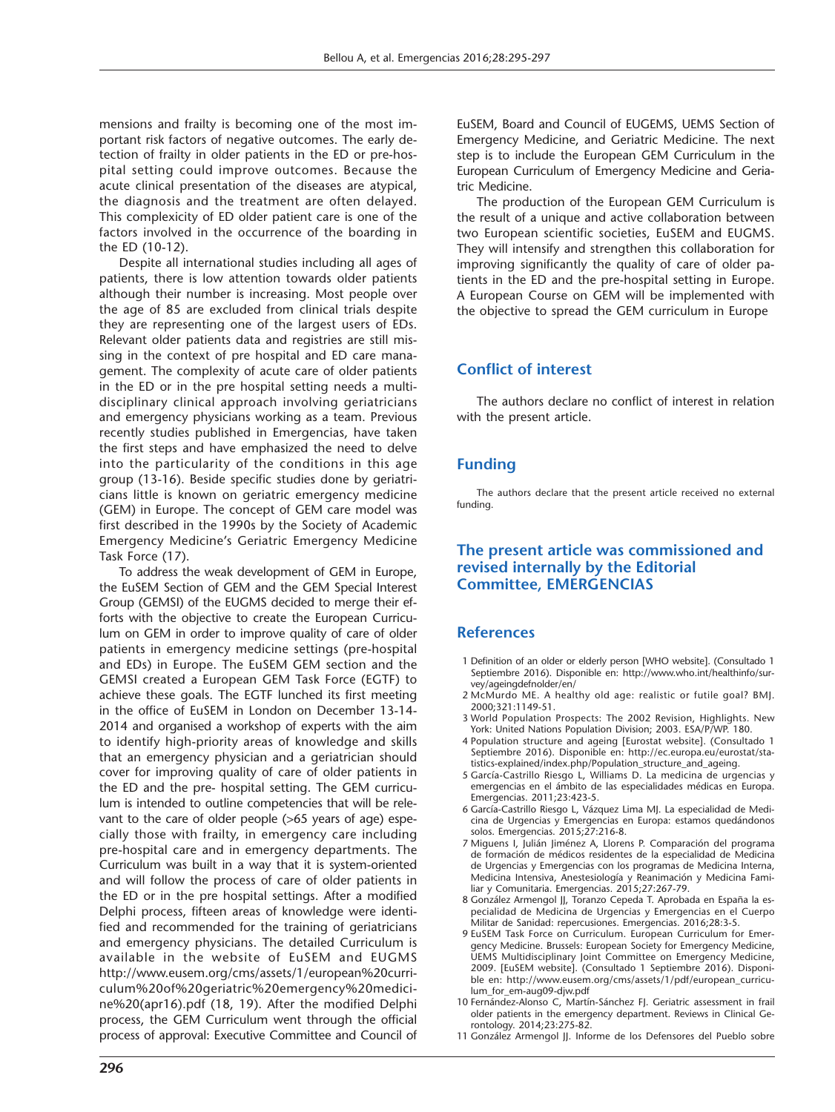mensions and frailty is becoming one of the most important risk factors of negative outcomes. The early detection of frailty in older patients in the ED or pre-hospital setting could improve outcomes. Because the acute clinical presentation of the diseases are atypical, the diagnosis and the treatment are often delayed. This complexicity of ED older patient care is one of the factors involved in the occurrence of the boarding in the ED (10-12).

Despite all international studies including all ages of patients, there is low attention towards older patients although their number is increasing. Most people over the age of 85 are excluded from clinical trials despite they are representing one of the largest users of EDs. Relevant older patients data and registries are still missing in the context of pre hospital and ED care management. The complexity of acute care of older patients in the ED or in the pre hospital setting needs a multidisciplinary clinical approach involving geriatricians and emergency physicians working as a team. Previous recently studies published in Emergencias, have taken the first steps and have emphasized the need to delve into the particularity of the conditions in this age group (13-16). Beside specific studies done by geriatricians little is known on geriatric emergency medicine (GEM) in Europe. The concept of GEM care model was first described in the 1990s by the Society of Academic Emergency Medicine's Geriatric Emergency Medicine Task Force (17).

To address the weak development of GEM in Europe, the EuSEM Section of GEM and the GEM Special Interest Group (GEMSI) of the EUGMS decided to merge their efforts with the objective to create the European Curriculum on GEM in order to improve quality of care of older patients in emergency medicine settings (pre-hospital and EDs) in Europe. The EuSEM GEM section and the GEMSI created a European GEM Task Force (EGTF) to achieve these goals. The EGTF lunched its first meeting in the office of EuSEM in London on December 13-14- 2014 and organised a workshop of experts with the aim to identify high-priority areas of knowledge and skills that an emergency physician and a geriatrician should cover for improving quality of care of older patients in the ED and the pre- hospital setting. The GEM curriculum is intended to outline competencies that will be relevant to the care of older people (>65 years of age) especially those with frailty, in emergency care including pre-hospital care and in emergency departments. The Curriculum was built in a way that it is system-oriented and will follow the process of care of older patients in the ED or in the pre hospital settings. After a modified Delphi process, fifteen areas of knowledge were identified and recommended for the training of geriatricians and emergency physicians. The detailed Curriculum is available in the website of EuSEM and EUGMS http://www.eusem.org/cms/assets/1/european%20curriculum%20of%20geriatric%20emergency%20medicine%20(apr16).pdf (18, 19). After the modified Delphi process, the GEM Curriculum went through the official process of approval: Executive Committee and Council of

EuSEM, Board and Council of EUGEMS, UEMS Section of Emergency Medicine, and Geriatric Medicine. The next step is to include the European GEM Curriculum in the European Curriculum of Emergency Medicine and Geriatric Medicine.

The production of the European GEM Curriculum is the result of a unique and active collaboration between two European scientific societies, EuSEM and EUGMS. They will intensify and strengthen this collaboration for improving significantly the quality of care of older patients in the ED and the pre-hospital setting in Europe. A European Course on GEM will be implemented with the objective to spread the GEM curriculum in Europe

### **Conflict of interest**

The authors declare no conflict of interest in relation with the present article.

# **Funding**

The authors declare that the present article received no external funding.

#### **The present article was commissioned and revised internally by the Editorial Committee, EMERGENCIAS**

### **References**

- 1 Definition of an older or elderly person [WHO website]. (Consultado 1 Septiembre 2016). Disponible en: http://www.who.int/healthinfo/survey/ageingdefnolder/en/
- 2 McMurdo ME. A healthy old age: realistic or futile goal? BMJ. 2000;321:1149-51.
- 3 World Population Prospects: The 2002 Revision, Highlights. New York: United Nations Population Division; 2003. ESA/P/WP. 180.
- 4 Population structure and ageing [Eurostat website]. (Consultado 1 Septiembre 2016). Disponible en: http://ec.europa.eu/eurostat/statistics-explained/index.php/Population\_structure\_and\_ageing.
- 5 García-Castrillo Riesgo L, Williams D. La medicina de urgencias y emergencias en el ámbito de las especialidades médicas en Europa. Emergencias. 2011;23:423-5.
- 6 García-Castrillo Riesgo L, Vázquez Lima MJ. La especialidad de Medicina de Urgencias y Emergencias en Europa: estamos quedándonos solos. Emergencias. 2015;27:216-8.
- 7 Miguens I, Julián Jiménez A, Llorens P. Comparación del programa de formación de médicos residentes de la especialidad de Medicina de Urgencias y Emergencias con los programas de Medicina Interna, Medicina Intensiva, Anestesiología y Reanimación y Medicina Familiar y Comunitaria. Emergencias. 2015;27:267-79.
- 8 González Armengol JJ, Toranzo Cepeda T. Aprobada en España la especialidad de Medicina de Urgencias y Emergencias en el Cuerpo Militar de Sanidad: repercusiones. Emergencias. 2016;28:3-5.
- 9 EuSEM Task Force on Curriculum. European Curriculum for Emergency Medicine. Brussels: European Society for Emergency Medicine, UEMS Multidisciplinary Joint Committee on Emergency Medicine, 2009. [EuSEM website]. (Consultado 1 Septiembre 2016). Disponible en: http://www.eusem.org/cms/assets/1/pdf/european\_curriculum\_for\_em-aug09-djw.pdf
- 10 Fernández-Alonso C, Martín-Sánchez FJ. Geriatric assessment in frail older patients in the emergency department. Reviews in Clinical Gerontology. 2014;23:275-82.
- 11 González Armengol JJ. Informe de los Defensores del Pueblo sobre